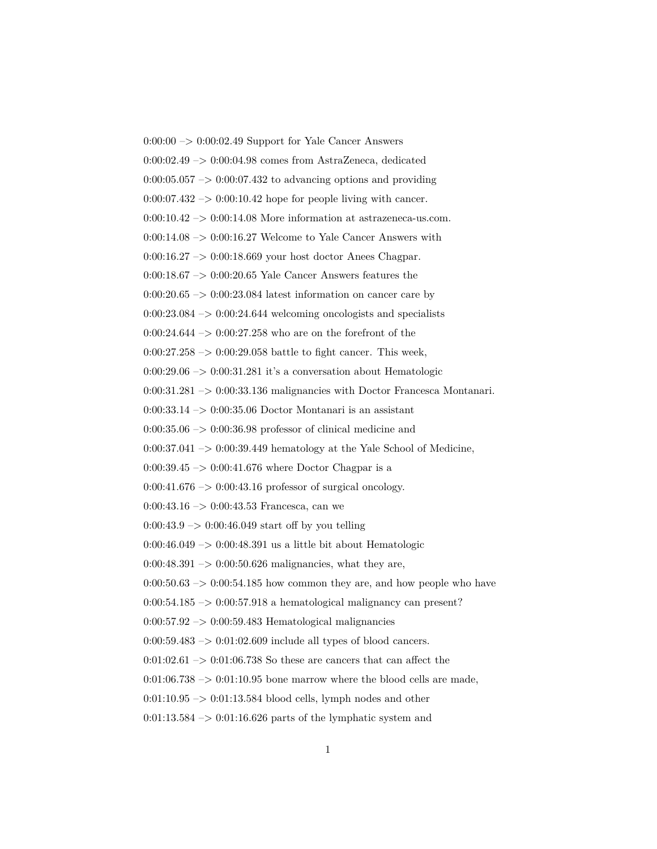$0:00:00 \rightarrow 0:00:02.49$  Support for Yale Cancer Answers 0:00:02.49 –> 0:00:04.98 comes from AstraZeneca, dedicated  $0:00:05.057 \rightarrow 0:00:07.432$  to advancing options and providing  $0:00:07.432 \rightarrow 0:00:10.42$  hope for people living with cancer.  $0:00:10.42 \rightarrow 0:00:14.08$  More information at astrazeneca-us.com.  $0:00:14.08 \rightarrow 0:00:16.27$  Welcome to Yale Cancer Answers with 0:00:16.27 –> 0:00:18.669 your host doctor Anees Chagpar. 0:00:18.67 –> 0:00:20.65 Yale Cancer Answers features the  $0:00:20.65 \rightarrow 0:00:23.084$  latest information on cancer care by  $0:00:23.084 \rightarrow 0:00:24.644$  welcoming oncologists and specialists  $0:00:24.644 \rightarrow 0:00:27.258$  who are on the forefront of the  $0:00:27.258 \rightarrow 0:00:29.058$  battle to fight cancer. This week,  $0:00:29.06 \rightarrow 0:00:31.281$  it's a conversation about Hematologic 0:00:31.281 –> 0:00:33.136 malignancies with Doctor Francesca Montanari. 0:00:33.14 –> 0:00:35.06 Doctor Montanari is an assistant  $0:00:35.06 \rightarrow 0:00:36.98$  professor of clinical medicine and  $0:00:37.041 \rightarrow 0:00:39.449$  hematology at the Yale School of Medicine,  $0:00:39.45 \rightarrow 0:00:41.676$  where Doctor Chagpar is a  $0:00:41.676 \rightarrow 0:00:43.16$  professor of surgical oncology.  $0:00:43.16 \rightarrow 0:00:43.53$  Francesca, can we  $0:00:43.9 \rightarrow 0:00:46.049$  start off by you telling  $0:00:46.049 \rightarrow 0:00:48.391$  us a little bit about Hematologic  $0:00:48.391 \rightarrow 0:00:50.626$  malignancies, what they are,  $0:00:50.63 \rightarrow 0:00:54.185$  how common they are, and how people who have  $0:00:54.185 \rightarrow 0:00:57.918$  a hematological malignancy can present?  $0.00:57.92 \rightarrow 0.00:59.483$  Hematological malignancies  $0:00:59.483 \rightarrow 0:01:02.609$  include all types of blood cancers.  $0:01:02.61 \rightarrow 0:01:06.738$  So these are cancers that can affect the  $0:01:06.738 \rightarrow 0:01:10.95$  bone marrow where the blood cells are made,  $0:01:10.95 \rightarrow 0:01:13.584$  blood cells, lymph nodes and other  $0:01:13.584 \rightarrow 0:01:16.626$  parts of the lymphatic system and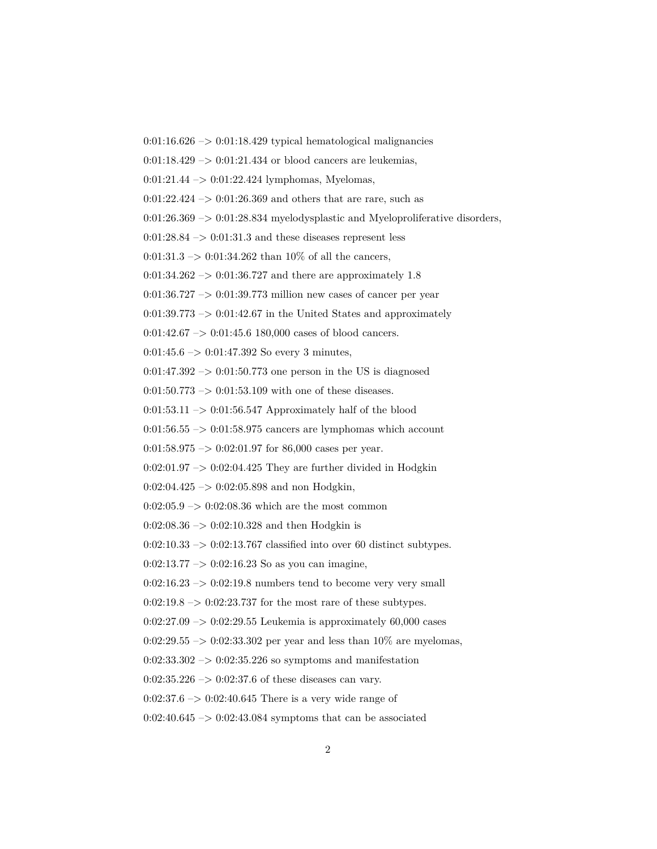$0:01:16.626 \rightarrow 0:01:18.429$  typical hematological malignancies

 $0:01:18.429 \rightarrow 0:01:21.434$  or blood cancers are leukemias,

0:01:21.44 –> 0:01:22.424 lymphomas, Myelomas,

 $0:01:22.424 \rightarrow 0:01:26.369$  and others that are rare, such as

 $0:01:26.369 \rightarrow 0:01:28.834$  myelodysplastic and Myeloproliferative disorders,

 $0:01:28.84 \rightarrow 0:01:31.3$  and these diseases represent less

 $0:01:31.3 \rightarrow 0:01:34.262$  than 10% of all the cancers,

 $0:01:34.262 \rightarrow 0:01:36.727$  and there are approximately 1.8

0:01:36.727 –> 0:01:39.773 million new cases of cancer per year

 $0:01:39.773 \rightarrow 0:01:42.67$  in the United States and approximately

 $0:01:42.67 \rightarrow 0:01:45.6$  180,000 cases of blood cancers.

 $0:01:45.6 \rightarrow 0:01:47.392$  So every 3 minutes,

 $0:01:47.392 \rightarrow 0:01:50.773$  one person in the US is diagnosed

 $0:01:50.773 \rightarrow 0:01:53.109$  with one of these diseases.

 $0:01:53.11 \rightarrow 0:01:56.547$  Approximately half of the blood

 $0:01:56.55 \rightarrow 0:01:58.975$  cancers are lymphomas which account

 $0:01:58.975 \rightarrow 0:02:01.97$  for 86,000 cases per year.

 $0:02:01.97 \rightarrow 0:02:04.425$  They are further divided in Hodgkin

 $0:02:04.425 \rightarrow 0:02:05.898$  and non Hodgkin,

 $0:02:05.9 \rightarrow 0:02:08.36$  which are the most common

 $0:02:08.36 \rightarrow 0:02:10.328$  and then Hodgkin is

 $0:02:10.33 \rightarrow 0:02:13.767$  classified into over 60 distinct subtypes.

 $0:02:13.77 \rightarrow 0:02:16.23$  So as you can imagine,

 $0:02:16.23 \rightarrow 0:02:19.8$  numbers tend to become very very small

 $0:02:19.8 \rightarrow 0:02:23.737$  for the most rare of these subtypes.

 $0:02:27.09 \rightarrow 0:02:29.55$  Leukemia is approximately 60,000 cases

0:02:29.55  $\rightarrow$  0:02:33.302 per year and less than 10% are myelomas,

 $0:02:33.302 \rightarrow 0:02:35.226$  so symptoms and manifestation

 $0:02:35.226 \rightarrow 0:02:37.6$  of these diseases can vary.

 $0:02:37.6 \rightarrow 0:02:40.645$  There is a very wide range of

 $0:02:40.645 \rightarrow 0:02:43.084$  symptoms that can be associated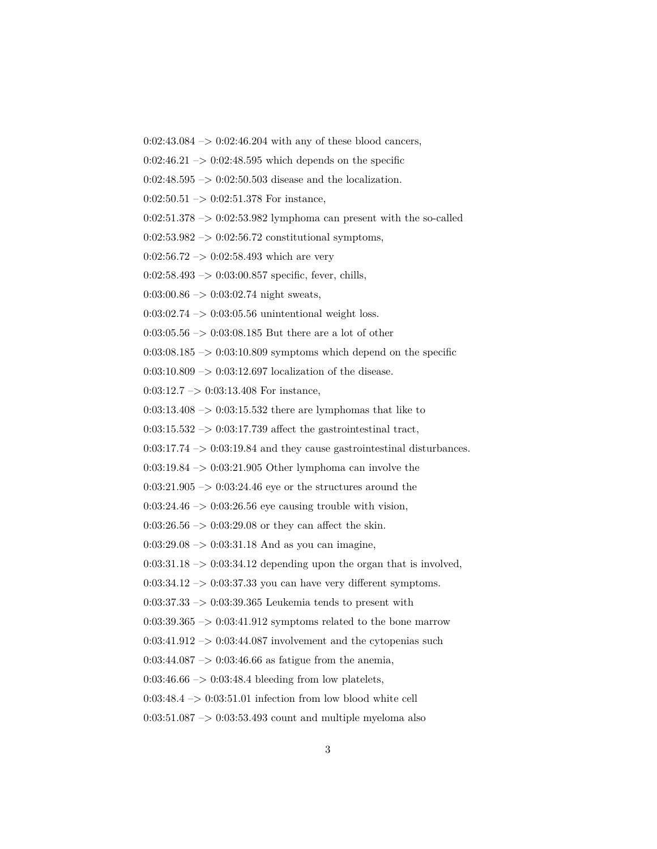$0:02:43.084 \rightarrow 0:02:46.204$  with any of these blood cancers,

 $0:02:46.21 \rightarrow 0:02:48.595$  which depends on the specific

 $0:02:48.595 \rightarrow 0:02:50.503$  disease and the localization.

 $0:02:50.51 \rightarrow 0:02:51.378$  For instance,

 $0:02:51.378 \rightarrow 0:02:53.982$  lymphoma can present with the so-called

 $0:02:53.982 \rightarrow 0:02:56.72$  constitutional symptoms,

 $0:02:56.72 \rightarrow 0:02:58.493$  which are very

 $0:02:58.493 \rightarrow 0:03:00.857$  specific, fever, chills,

 $0:03:00.86 \rightarrow 0:03:02.74$  night sweats,

 $0:03:02.74 \rightarrow 0:03:05.56$  unintentional weight loss.

 $0:03:05.56 \rightarrow 0:03:08.185$  But there are a lot of other

 $0:03:08.185 \rightarrow 0:03:10.809$  symptoms which depend on the specific

0:03:10.809  $\rightarrow$  0:03:12.697 localization of the disease.

0:03:12.7 –> 0:03:13.408 For instance,

 $0:03:13.408 \rightarrow 0:03:15.532$  there are lymphomas that like to

 $0:03:15.532 \rightarrow 0:03:17.739$  affect the gastrointestinal tract,

 $0:03:17.74 \rightarrow 0:03:19.84$  and they cause gastrointestinal disturbances.

 $0:03:19.84 \rightarrow 0:03:21.905$  Other lymphoma can involve the

 $0:03:21.905 \rightarrow 0:03:24.46$  eye or the structures around the

 $0:03:24.46 \rightarrow 0:03:26.56$  eye causing trouble with vision,

 $0:03:26.56 \rightarrow 0:03:29.08$  or they can affect the skin.

 $0:03:29.08 \rightarrow 0:03:31.18$  And as you can imagine,

 $0:03:31.18 \rightarrow 0:03:34.12$  depending upon the organ that is involved,

 $0:03:34.12 \rightarrow 0:03:37.33$  you can have very different symptoms.

 $0:03:37.33 \rightarrow 0:03:39.365$  Leukemia tends to present with

 $0:03:39.365 \rightarrow 0:03:41.912$  symptoms related to the bone marrow

 $0:03:41.912 \rightarrow 0:03:44.087$  involvement and the cytopenias such

 $0:03:44.087 \rightarrow 0:03:46.66$  as fatigue from the anemia,

 $0:03:46.66 \rightarrow 0:03:48.4$  bleeding from low platelets,

 $0:03:48.4 \rightarrow 0:03:51.01$  infection from low blood white cell

 $0:03:51.087 \rightarrow 0:03:53.493$  count and multiple myeloma also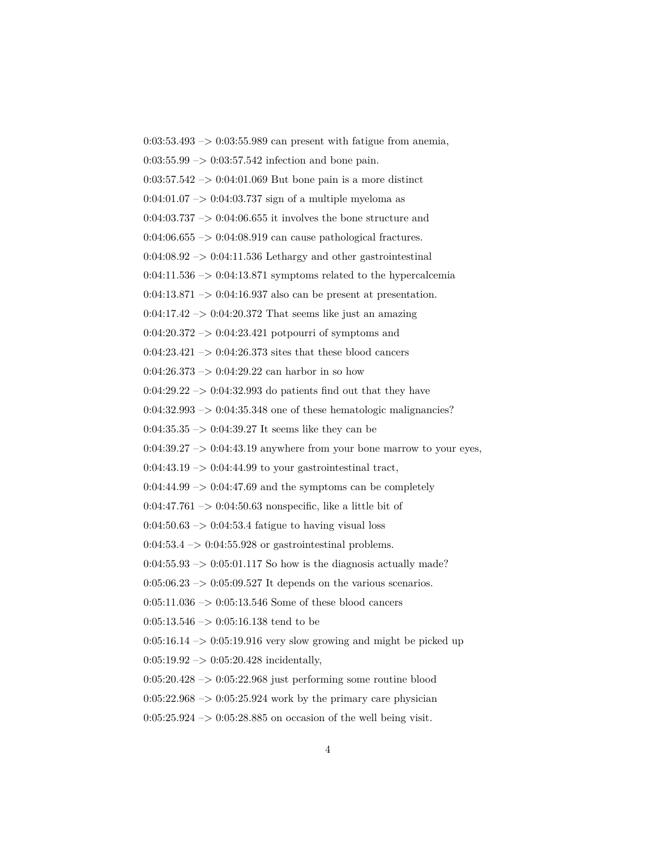$0:03:53.493 \rightarrow 0:03:55.989$  can present with fatigue from anemia,  $0:03:55.99 \rightarrow 0:03:57.542$  infection and bone pain.  $0:03:57.542 \rightarrow 0:04:01.069$  But bone pain is a more distinct  $0:04:01.07 \rightarrow 0:04:03.737$  sign of a multiple myeloma as  $0:04:03.737 \rightarrow 0:04:06.655$  it involves the bone structure and  $0:04:06.655 \rightarrow 0:04:08.919$  can cause pathological fractures.  $0:04:08.92 \rightarrow 0:04:11.536$  Lethargy and other gastrointestinal  $0:04:11.536 \rightarrow 0:04:13.871$  symptoms related to the hypercalcemia  $0:04:13.871 \rightarrow 0:04:16.937$  also can be present at presentation.  $0.04:17.42 \rightarrow 0.04:20.372$  That seems like just an amazing  $0:04:20.372 \rightarrow 0:04:23.421$  potpourri of symptoms and  $0:04:23.421 \rightarrow 0:04:26.373$  sites that these blood cancers  $0:04:26.373 \rightarrow 0:04:29.22$  can harbor in so how  $0:04:29.22 \rightarrow 0:04:32.993$  do patients find out that they have  $0:04:32.993 \rightarrow 0:04:35.348$  one of these hematologic malignancies?  $0:04:35.35 \rightarrow 0:04:39.27$  It seems like they can be  $0:04:39.27 \rightarrow 0:04:43.19$  anywhere from your bone marrow to your eyes,  $0:04:43.19 \rightarrow 0:04:44.99$  to your gastrointestinal tract,  $0:04:44.99 \rightarrow 0:04:47.69$  and the symptoms can be completely 0:04:47.761  $\rightarrow$  0:04:50.63 nonspecific, like a little bit of  $0:04:50.63 \rightarrow 0:04:53.4$  fatigue to having visual loss  $0:04:53.4 \rightarrow 0:04:55.928$  or gastrointestinal problems.  $0.04:55.93 \rightarrow 0.05:01.117$  So how is the diagnosis actually made?  $0:05:06.23 \rightarrow 0:05:09.527$  It depends on the various scenarios.  $0:05:11.036 \rightarrow 0:05:13.546$  Some of these blood cancers  $0:05:13.546 \rightarrow 0:05:16.138$  tend to be  $0:05:16.14 \rightarrow 0:05:19.916$  very slow growing and might be picked up  $0:05:19.92 \rightarrow 0:05:20.428$  incidentally,  $0:05:20.428 \rightarrow 0:05:22.968$  just performing some routine blood  $0:05:22.968 \rightarrow 0:05:25.924$  work by the primary care physician  $0:05:25.924 \rightarrow 0:05:28.885$  on occasion of the well being visit.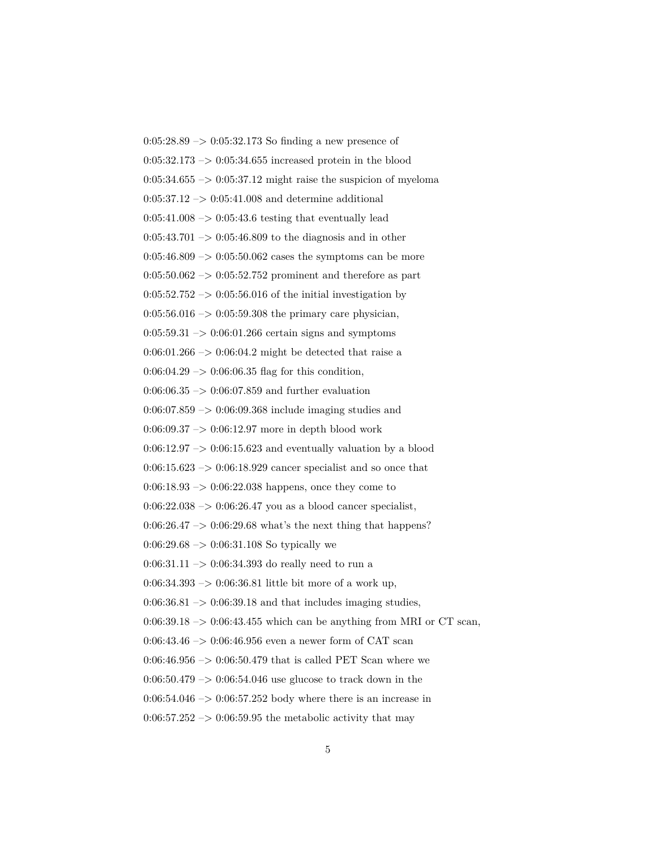$0:05:28.89 \rightarrow 0:05:32.173$  So finding a new presence of  $0:05:32.173 \rightarrow 0:05:34.655$  increased protein in the blood  $0:05:34.655 \rightarrow 0:05:37.12$  might raise the suspicion of myeloma  $0:05:37.12 \rightarrow 0:05:41.008$  and determine additional  $0:05:41.008 \rightarrow 0:05:43.6$  testing that eventually lead  $0:05:43.701 \rightarrow 0:05:46.809$  to the diagnosis and in other  $0:05:46.809 \rightarrow 0:05:50.062$  cases the symptoms can be more  $0:05:50.062 \rightarrow 0:05:52.752$  prominent and therefore as part  $0:05:52.752 \rightarrow 0:05:56.016$  of the initial investigation by  $0:05:56.016 \rightarrow 0:05:59.308$  the primary care physician,  $0:05:59.31 \rightarrow 0:06:01.266$  certain signs and symptoms  $0:06:01.266 \rightarrow 0:06:04.2$  might be detected that raise a  $0:06:04.29 \rightarrow 0:06:06.35$  flag for this condition,  $0:06:06.35 \rightarrow 0:06:07.859$  and further evaluation 0:06:07.859 –> 0:06:09.368 include imaging studies and  $0:06:09.37 \rightarrow 0:06:12.97$  more in depth blood work  $0:06:12.97 \rightarrow 0:06:15.623$  and eventually valuation by a blood  $0:06:15.623 \rightarrow 0:06:18.929$  cancer specialist and so once that  $0.06:18.93 \rightarrow 0.06:22.038$  happens, once they come to  $0.06:22.038 \rightarrow 0.06:26.47$  you as a blood cancer specialist,  $0.06:26.47 \rightarrow 0.06:29.68$  what's the next thing that happens?  $0:06:29.68 \rightarrow 0:06:31.108$  So typically we 0:06:31.11  $\rightarrow$  0:06:34.393 do really need to run a 0:06:34.393 –> 0:06:36.81 little bit more of a work up,  $0.06:36.81 \rightarrow 0.06:39.18$  and that includes imaging studies,  $0:06:39.18 \rightarrow 0:06:43.455$  which can be anything from MRI or CT scan, 0:06:43.46  $\rightarrow$  0:06:46.956 even a newer form of CAT scan  $0:06:46.956 \rightarrow 0:06:50.479$  that is called PET Scan where we  $0.06:50.479 \rightarrow 0.06:54.046$  use glucose to track down in the  $0:06:54.046 \rightarrow 0:06:57.252$  body where there is an increase in  $0.06:57.252 \rightarrow 0.06:59.95$  the metabolic activity that may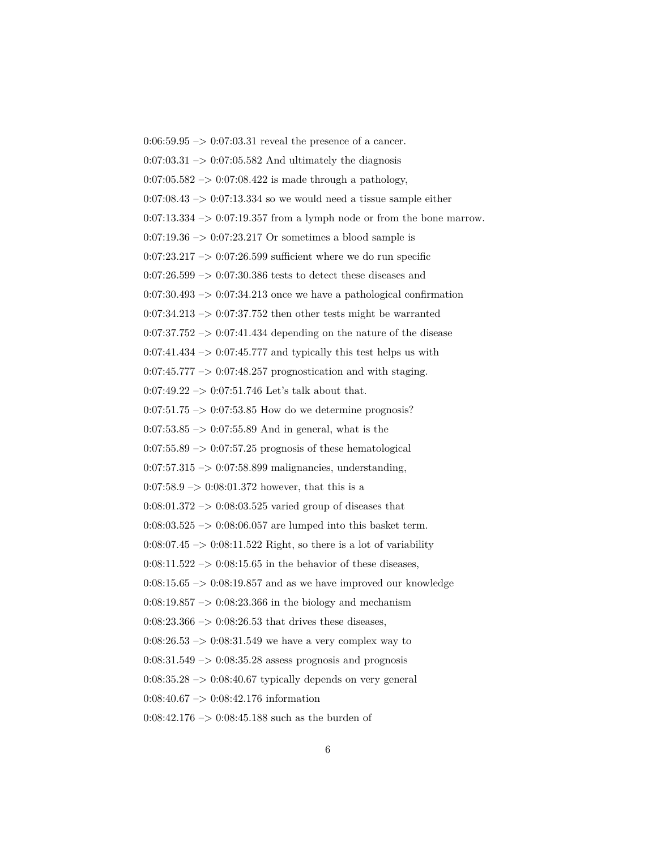$0:06:59.95 \rightarrow 0:07:03.31$  reveal the presence of a cancer.  $0.07:03.31 \rightarrow 0.07:05.582$  And ultimately the diagnosis  $0:07:05.582 \rightarrow 0:07:08.422$  is made through a pathology,  $0:07:08.43 \rightarrow 0:07:13.334$  so we would need a tissue sample either  $0:07:13.334 \rightarrow 0:07:19.357$  from a lymph node or from the bone marrow.  $0:07:19.36 \rightarrow 0:07:23.217$  Or sometimes a blood sample is  $0:07:23.217 \rightarrow 0:07:26.599$  sufficient where we do run specific  $0:07:26.599 \rightarrow 0:07:30.386$  tests to detect these diseases and  $0:07:30.493 \rightarrow 0:07:34.213$  once we have a pathological confirmation  $0:07:34.213 \rightarrow 0:07:37.752$  then other tests might be warranted  $0:07:37.752 \rightarrow 0:07:41.434$  depending on the nature of the disease  $0:07:41.434 \rightarrow 0:07:45.777$  and typically this test helps us with 0:07:45.777 –> 0:07:48.257 prognostication and with staging.  $0:07:49.22 \rightarrow 0:07:51.746$  Let's talk about that.  $0:07:51.75 \rightarrow 0:07:53.85$  How do we determine prognosis?  $0:07:53.85 \rightarrow 0:07:55.89$  And in general, what is the  $0:07:55.89 \rightarrow 0:07:57.25$  prognosis of these hematological  $0:07:57.315 \rightarrow 0:07:58.899$  malignancies, understanding,  $0:07:58.9 \rightarrow 0:08:01.372$  however, that this is a  $0:08:01.372 \rightarrow 0:08:03.525$  varied group of diseases that  $0:08:03.525 \rightarrow 0:08:06.057$  are lumped into this basket term.  $0:08:07.45 \rightarrow 0:08:11.522$  Right, so there is a lot of variability  $0.08:11.522 \rightarrow 0.08:15.65$  in the behavior of these diseases,  $0:08:15.65 \rightarrow 0:08:19.857$  and as we have improved our knowledge  $0:08:19.857 \rightarrow 0:08:23.366$  in the biology and mechanism  $0:08:23.366 \rightarrow 0:08:26.53$  that drives these diseases,  $0:08:26.53 \rightarrow 0:08:31.549$  we have a very complex way to  $0:08:31.549 \rightarrow 0:08:35.28$  assess prognosis and prognosis  $0.08:35.28 \rightarrow 0.08:40.67$  typically depends on very general 0:08:40.67 –> 0:08:42.176 information  $0:08:42.176 \rightarrow 0:08:45.188$  such as the burden of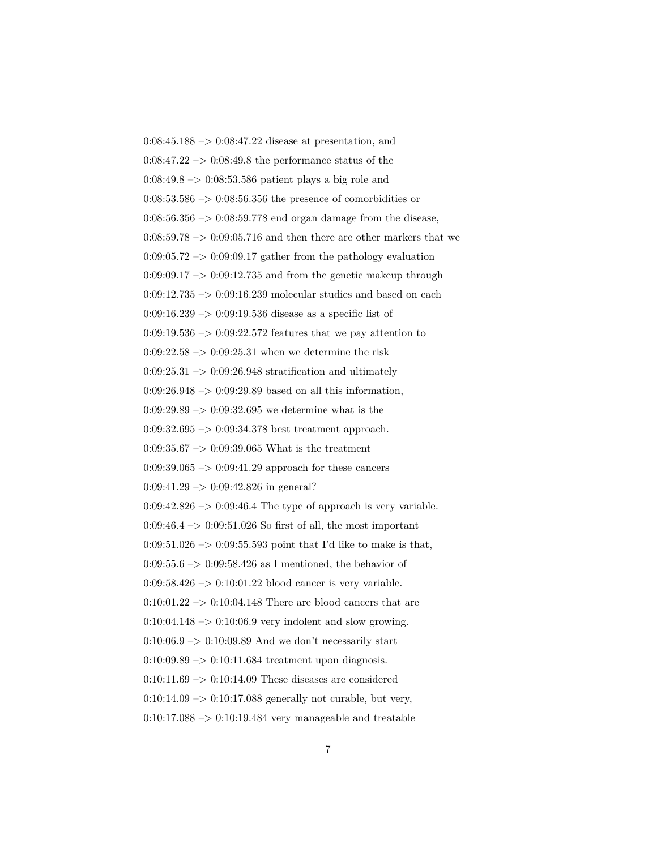$0:08:45.188 \rightarrow 0:08:47.22$  disease at presentation, and  $0.08:47.22 \rightarrow 0.08:49.8$  the performance status of the  $0.08:49.8 \rightarrow 0.08:53.586$  patient plays a big role and  $0:08:53.586 \rightarrow 0:08:56.356$  the presence of comorbidities or  $0:08:56.356 \rightarrow 0:08:59.778$  end organ damage from the disease,  $0:08:59.78 \rightarrow 0:09:05.716$  and then there are other markers that we  $0:09:05.72 \rightarrow 0:09:09.17$  gather from the pathology evaluation  $0:09:09.17 \rightarrow 0:09:12.735$  and from the genetic makeup through  $0:09:12.735 \rightarrow 0:09:16.239$  molecular studies and based on each  $0:09:16.239 \rightarrow 0:09:19.536$  disease as a specific list of  $0:09:19.536 \rightarrow 0:09:22.572$  features that we pay attention to  $0:09:22.58 \rightarrow 0:09:25.31$  when we determine the risk  $0:09:25.31 \rightarrow 0:09:26.948$  stratification and ultimately  $0:09:26.948 \rightarrow 0:09:29.89$  based on all this information,  $0:09:29.89 \rightarrow 0:09:32.695$  we determine what is the 0:09:32.695 –> 0:09:34.378 best treatment approach. 0:09:35.67  $\rightarrow$  0:09:39.065 What is the treatment  $0.09:39.065 \rightarrow 0.09:41.29$  approach for these cancers  $0:09:41.29 \rightarrow 0:09:42.826$  in general?  $0:09:42.826 \rightarrow 0:09:46.4$  The type of approach is very variable.  $0:09:46.4 \rightarrow 0:09:51.026$  So first of all, the most important 0:09:51.026 –> 0:09:55.593 point that I'd like to make is that, 0:09:55.6  $\rightarrow$  0:09:58.426 as I mentioned, the behavior of  $0.09:58.426 \rightarrow 0.10:01.22$  blood cancer is very variable.  $0:10:01.22 \rightarrow 0:10:04.148$  There are blood cancers that are  $0:10:04.148 \rightarrow 0:10:06.9$  very indolent and slow growing.  $0:10:06.9 \rightarrow 0:10:09.89$  And we don't necessarily start  $0:10:09.89 \rightarrow 0:10:11.684$  treatment upon diagnosis.  $0:10:11.69 \rightarrow 0:10:14.09$  These diseases are considered  $0:10:14.09 \rightarrow 0:10:17.088$  generally not curable, but very,  $0:10:17.088 \rightarrow 0:10:19.484$  very manageable and treatable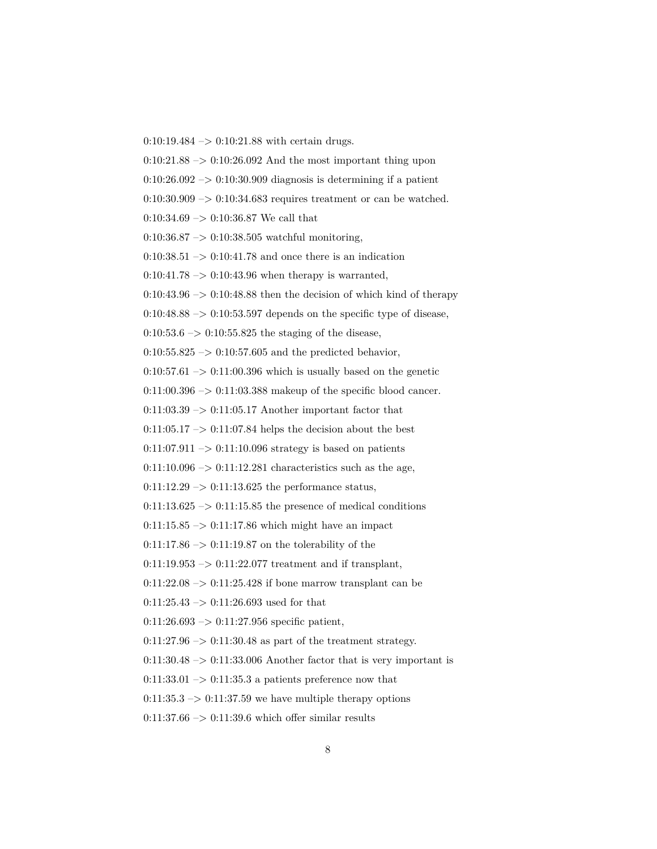$0:10:19.484 \rightarrow 0:10:21.88$  with certain drugs.

 $0:10:21.88 \rightarrow 0:10:26.092$  And the most important thing upon

 $0:10:26.092 \rightarrow 0:10:30.909$  diagnosis is determining if a patient

 $0:10:30.909 \rightarrow 0:10:34.683$  requires treatment or can be watched.

 $0:10:34.69 \rightarrow 0:10:36.87$  We call that

0:10:36.87  $\rightarrow$  0:10:38.505 watchful monitoring,

 $0:10:38.51 \rightarrow 0:10:41.78$  and once there is an indication

 $0:10:41.78 \rightarrow 0:10:43.96$  when therapy is warranted,

 $0:10:43.96 \rightarrow 0:10:48.88$  then the decision of which kind of therapy

 $0:10:48.88 \rightarrow 0:10:53.597$  depends on the specific type of disease,

 $0:10:53.6 \rightarrow 0:10:55.825$  the staging of the disease,

 $0:10:55.825 \rightarrow 0:10:57.605$  and the predicted behavior,

 $0:10:57.61 \rightarrow 0:11:00.396$  which is usually based on the genetic

 $0:11:00.396 \rightarrow 0:11:03.388$  makeup of the specific blood cancer.

 $0:11:03.39 \rightarrow 0:11:05.17$  Another important factor that

 $0:11:05.17 \rightarrow 0:11:07.84$  helps the decision about the best

 $0:11:07.911 \rightarrow 0:11:10.096$  strategy is based on patients

 $0:11:10.096 \rightarrow 0:11:12.281$  characteristics such as the age,

 $0:11:12.29 \rightarrow 0:11:13.625$  the performance status,

 $0:11:13.625 \rightarrow 0:11:15.85$  the presence of medical conditions

 $0:11:15.85 \rightarrow 0:11:17.86$  which might have an impact

 $0:11:17.86 \rightarrow 0:11:19.87$  on the tolerability of the

 $0:11:19.953 \rightarrow 0:11:22.077$  treatment and if transplant,

 $0:11:22.08 \rightarrow 0:11:25.428$  if bone marrow transplant can be

 $0:11:25.43 \rightarrow 0:11:26.693$  used for that

 $0:11:26.693 \rightarrow 0:11:27.956$  specific patient,

 $0:11:27.96 \rightarrow 0:11:30.48$  as part of the treatment strategy.

 $0:11:30.48 \rightarrow 0:11:33.006$  Another factor that is very important is

 $0:11:33.01 \rightarrow 0:11:35.3$  a patients preference now that

 $0:11:35.3 \rightarrow 0:11:37.59$  we have multiple therapy options

 $0:11:37.66 \rightarrow 0:11:39.6$  which offer similar results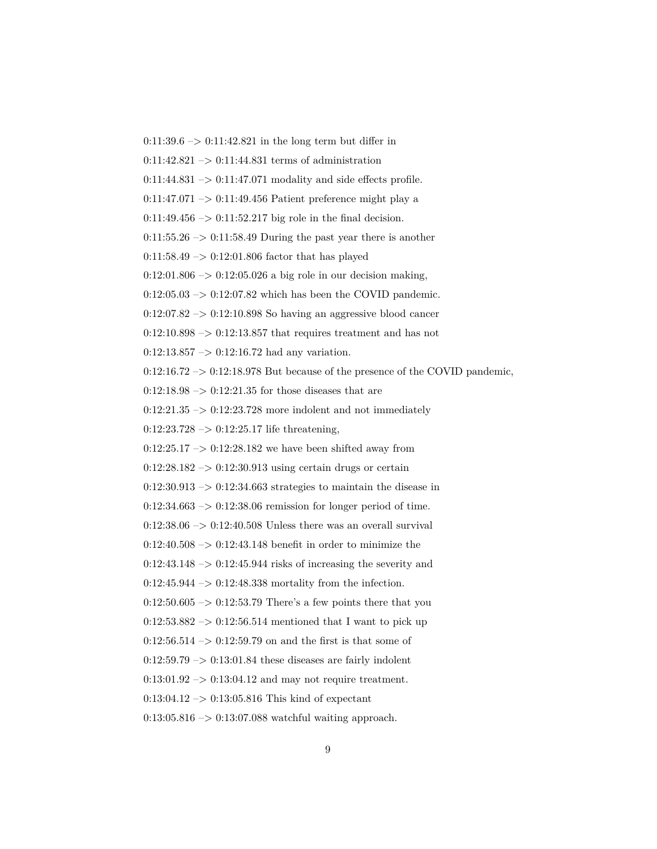$0:11:39.6 \rightarrow 0:11:42.821$  in the long term but differ in  $0:11:42.821 \rightarrow 0:11:44.831$  terms of administration  $0:11:44.831 \rightarrow 0:11:47.071$  modality and side effects profile.  $0:11:47.071 \rightarrow 0:11:49.456$  Patient preference might play a  $0:11:49.456 \rightarrow 0:11:52.217$  big role in the final decision.  $0:11:55.26 \rightarrow 0:11:58.49$  During the past year there is another 0:11:58.49 –> 0:12:01.806 factor that has played  $0:12:01.806 \rightarrow 0:12:05.026$  a big role in our decision making,  $0:12:05.03 \rightarrow 0:12:07.82$  which has been the COVID pandemic.  $0:12:07.82 \rightarrow 0:12:10.898$  So having an aggressive blood cancer  $0:12:10.898 \rightarrow 0:12:13.857$  that requires treatment and has not  $0:12:13.857 \rightarrow 0:12:16.72$  had any variation.  $0:12:16.72 \rightarrow 0:12:18.978$  But because of the presence of the COVID pandemic,  $0:12:18.98 \rightarrow 0:12:21.35$  for those diseases that are  $0:12:21.35 \rightarrow 0:12:23.728$  more indolent and not immediately  $0:12:23.728 \rightarrow 0:12:25.17$  life threatening,  $0:12:25.17 \rightarrow 0:12:28.182$  we have been shifted away from  $0:12:28.182 \rightarrow 0:12:30.913$  using certain drugs or certain  $0:12:30.913 \rightarrow 0:12:34.663$  strategies to maintain the disease in  $0:12:34.663 \rightarrow 0:12:38.06$  remission for longer period of time.  $0:12:38.06 \rightarrow 0:12:40.508$  Unless there was an overall survival 0:12:40.508 –> 0:12:43.148 benefit in order to minimize the  $0:12:43.148 \rightarrow 0:12:45.944$  risks of increasing the severity and  $0:12:45.944 \rightarrow 0:12:48.338$  mortality from the infection.  $0:12:50.605 \rightarrow 0:12:53.79$  There's a few points there that you  $0:12:53.882 \rightarrow 0:12:56.514$  mentioned that I want to pick up  $0:12:56.514 \rightarrow 0:12:59.79$  on and the first is that some of  $0:12:59.79 \rightarrow 0:13:01.84$  these diseases are fairly indolent  $0:13:01.92 \rightarrow 0:13:04.12$  and may not require treatment.  $0:13:04.12 \rightarrow 0:13:05.816$  This kind of expectant 0:13:05.816 –> 0:13:07.088 watchful waiting approach.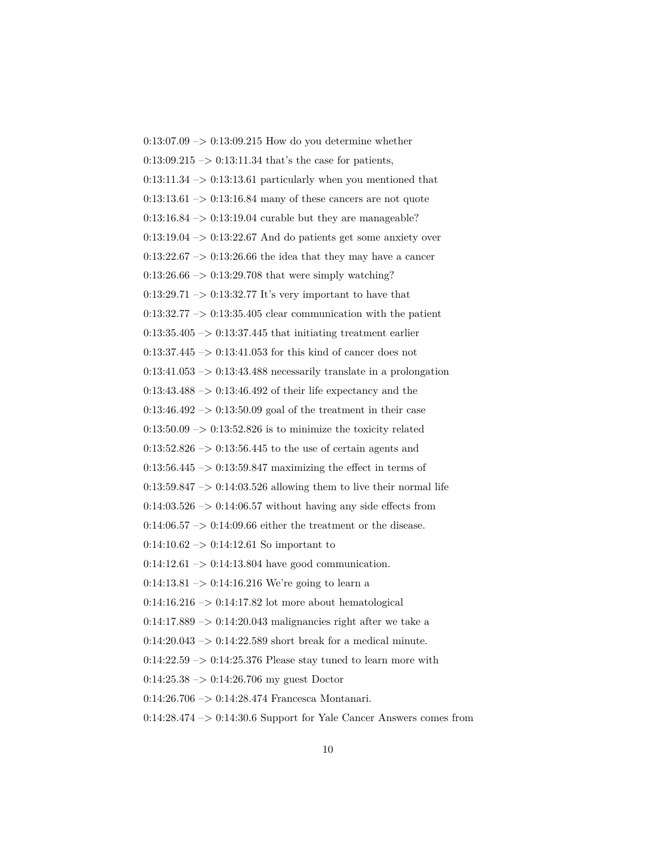$0:13:07.09 \rightarrow 0:13:09.215$  How do you determine whether  $0:13:09.215 \rightarrow 0:13:11.34$  that's the case for patients,  $0:13:11.34 \rightarrow 0:13:13.61$  particularly when you mentioned that  $0:13:13.61 \rightarrow 0:13:16.84$  many of these cancers are not quote  $0:13:16.84 \rightarrow 0:13:19.04$  curable but they are manageable?  $0:13:19.04 \rightarrow 0:13:22.67$  And do patients get some anxiety over  $0:13:22.67 \rightarrow 0:13:26.66$  the idea that they may have a cancer  $0:13:26.66 \rightarrow 0:13:29.708$  that were simply watching?  $0:13:29.71 \rightarrow 0:13:32.77$  It's very important to have that  $0:13:32.77 \rightarrow 0:13:35.405$  clear communication with the patient  $0:13:35.405 \rightarrow 0:13:37.445$  that initiating treatment earlier 0:13:37.445  $\rightarrow$  0:13:41.053 for this kind of cancer does not  $0:13:41.053 \rightarrow 0:13:43.488$  necessarily translate in a prolongation  $0:13:43.488 \rightarrow 0:13:46.492$  of their life expectancy and the  $0:13:46.492 \rightarrow 0:13:50.09$  goal of the treatment in their case  $0:13:50.09 \rightarrow 0:13:52.826$  is to minimize the toxicity related  $0:13:52.826 \rightarrow 0:13:56.445$  to the use of certain agents and  $0:13:56.445 \rightarrow 0:13:59.847$  maximizing the effect in terms of  $0:13:59.847 \rightarrow 0:14:03.526$  allowing them to live their normal life  $0.14:03.526$  ->  $0.14:06.57$  without having any side effects from  $0.14:06.57 \rightarrow 0.14:09.66$  either the treatment or the disease.  $0:14:10.62 \rightarrow 0:14:12.61$  So important to  $0:14:12.61 \rightarrow 0:14:13.804$  have good communication. 0:14:13.81  $\rightarrow$  0:14:16.216 We're going to learn a  $0:14:16.216 \rightarrow 0:14:17.82$  lot more about hematological  $0:14:17.889 \rightarrow 0:14:20.043$  malignancies right after we take a  $0:14:20.043 \rightarrow 0:14:22.589$  short break for a medical minute.  $0:14:22.59 \rightarrow 0:14:25.376$  Please stay tuned to learn more with  $0:14:25.38 \rightarrow 0:14:26.706$  my guest Doctor 0:14:26.706 –> 0:14:28.474 Francesca Montanari. 0:14:28.474 –> 0:14:30.6 Support for Yale Cancer Answers comes from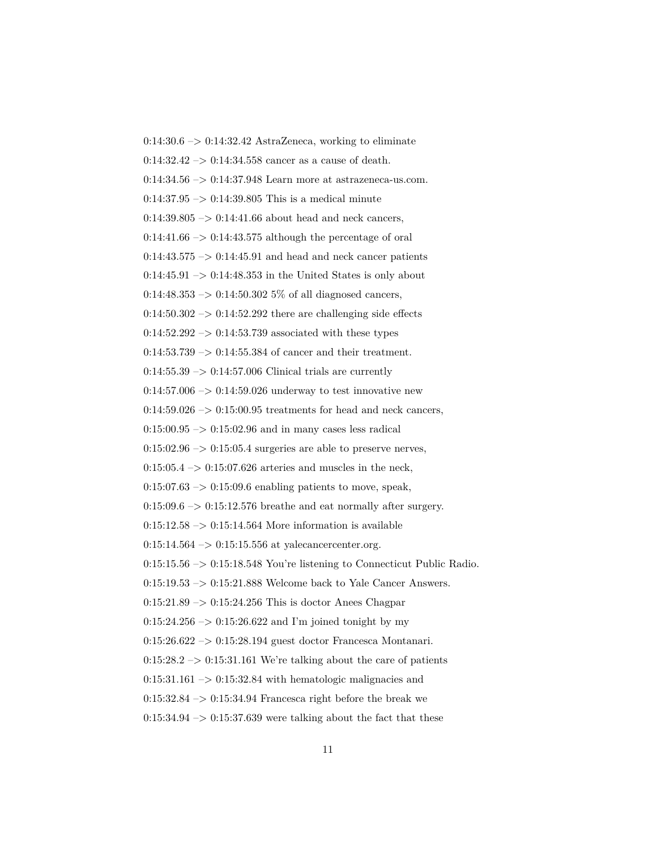$0:14:30.6 \rightarrow 0:14:32.42$  AstraZeneca, working to eliminate  $0:14:32.42 \rightarrow 0:14:34.558$  cancer as a cause of death. 0:14:34.56 –> 0:14:37.948 Learn more at astrazeneca-us.com.  $0:14:37.95 \rightarrow 0:14:39.805$  This is a medical minute  $0:14:39.805 \rightarrow 0:14:41.66$  about head and neck cancers,  $0:14:41.66 \rightarrow 0:14:43.575$  although the percentage of oral  $0:14:43.575 \rightarrow 0:14:45.91$  and head and neck cancer patients  $0:14:45.91 \rightarrow 0:14:48.353$  in the United States is only about  $0:14:48.353 \rightarrow 0:14:50.3025\%$  of all diagnosed cancers,  $0.14:50.302 \rightarrow 0.14:52.292$  there are challenging side effects  $0:14:52.292 \rightarrow 0:14:53.739$  associated with these types  $0:14:53.739 \rightarrow 0:14:55.384$  of cancer and their treatment.  $0:14:55.39 \rightarrow 0:14:57.006$  Clinical trials are currently  $0:14:57.006 \rightarrow 0:14:59.026$  underway to test innovative new  $0:14:59.026 \rightarrow 0:15:00.95$  treatments for head and neck cancers,  $0:15:00.95 \rightarrow 0:15:02.96$  and in many cases less radical  $0:15:02.96 \rightarrow 0:15:05.4$  surgeries are able to preserve nerves,  $0.15:05.4 \rightarrow 0.15:07.626$  arteries and muscles in the neck,  $0.15:07.63 \rightarrow 0.15:09.6$  enabling patients to move, speak,  $0:15:09.6 \rightarrow 0:15:12.576$  breathe and eat normally after surgery.  $0:15:12.58 \rightarrow 0:15:14.564$  More information is available  $0:15:14.564 \rightarrow 0:15:15.556$  at yalecancercenter.org.  $0:15:15.56 \rightarrow 0:15:18.548$  You're listening to Connecticut Public Radio.  $0:15:19.53 \rightarrow 0:15:21.888$  Welcome back to Yale Cancer Answers.  $0:15:21.89 \rightarrow 0:15:24.256$  This is doctor Anees Chagpar  $0:15:24.256 \rightarrow 0:15:26.622$  and I'm joined tonight by my 0:15:26.622 –> 0:15:28.194 guest doctor Francesca Montanari.  $0:15:28.2 \rightarrow 0:15:31.161$  We're talking about the care of patients  $0:15:31.161 \rightarrow 0:15:32.84$  with hematologic malignacies and  $0:15:32.84 \rightarrow 0:15:34.94$  Francesca right before the break we  $0:15:34.94 \rightarrow 0:15:37.639$  were talking about the fact that these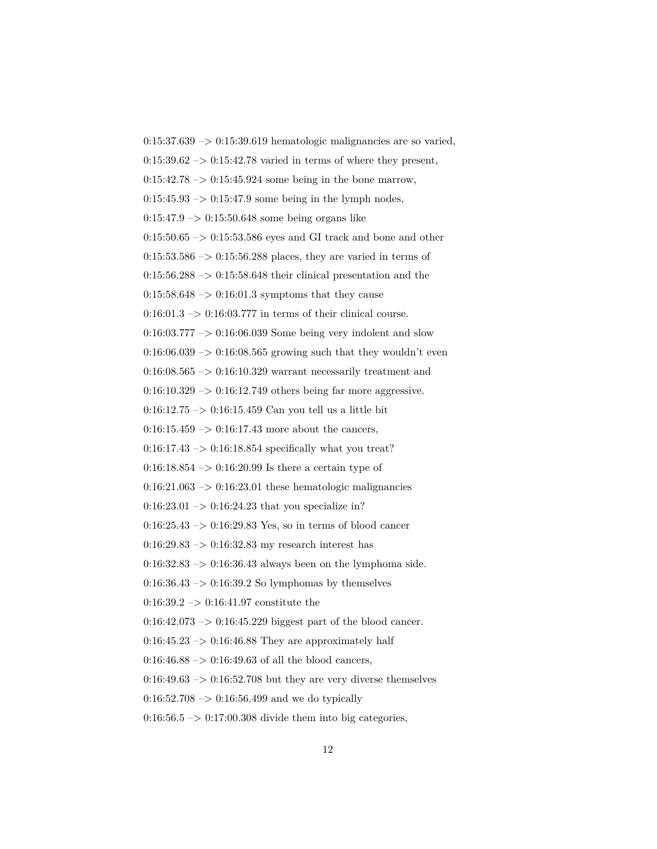$0:15:37.639 \rightarrow 0:15:39.619$  hematologic malignancies are so varied,  $0.15:39.62 \rightarrow 0.15:42.78$  varied in terms of where they present,  $0:15:42.78 \rightarrow 0:15:45.924$  some being in the bone marrow,  $0:15:45.93 \rightarrow 0:15:47.9$  some being in the lymph nodes,  $0:15:47.9 \rightarrow 0:15:50.648$  some being organs like  $0:15:50.65 \rightarrow 0:15:53.586$  eyes and GI track and bone and other  $0:15:53.586 \rightarrow 0:15:56.288$  places, they are varied in terms of  $0:15:56.288 \rightarrow 0:15:58.648$  their clinical presentation and the  $0:15:58.648 \rightarrow 0:16:01.3$  symptoms that they cause  $0.16:01.3 \rightarrow 0.16:03.777$  in terms of their clinical course. 0:16:03.777 –> 0:16:06.039 Some being very indolent and slow  $0:16:06.039 \rightarrow 0:16:08.565$  growing such that they wouldn't even  $0:16:08.565 \rightarrow 0:16:10.329$  warrant necessarily treatment and  $0:16:10.329 \rightarrow 0:16:12.749$  others being far more aggressive.  $0:16:12.75 \rightarrow 0:16:15.459$  Can you tell us a little bit  $0:16:15.459 \rightarrow 0:16:17.43$  more about the cancers,  $0:16:17.43 \rightarrow 0:16:18.854$  specifically what you treat?  $0:16:18.854 \rightarrow 0:16:20.99$  Is there a certain type of  $0.16:21.063 \rightarrow 0.16:23.01$  these hematologic malignancies  $0:16:23.01 \rightarrow 0:16:24.23$  that you specialize in?  $0:16:25.43 \rightarrow 0:16:29.83$  Yes, so in terms of blood cancer  $0:16:29.83 \rightarrow 0:16:32.83$  my research interest has 0:16:32.83 –> 0:16:36.43 always been on the lymphoma side.  $0.16:36.43 \rightarrow 0.16:39.2$  So lymphomas by themselves 0:16:39.2 –> 0:16:41.97 constitute the  $0:16:42.073 \rightarrow 0:16:45.229$  biggest part of the blood cancer.  $0:16:45.23 \rightarrow 0:16:46.88$  They are approximately half  $0:16:46.88 \rightarrow 0:16:49.63$  of all the blood cancers,  $0.16:49.63 \rightarrow 0.16:52.708$  but they are very diverse themselves  $0:16:52.708 \rightarrow 0:16:56.499$  and we do typically

 $0.16:56.5 \rightarrow 0.17:00.308$  divide them into big categories,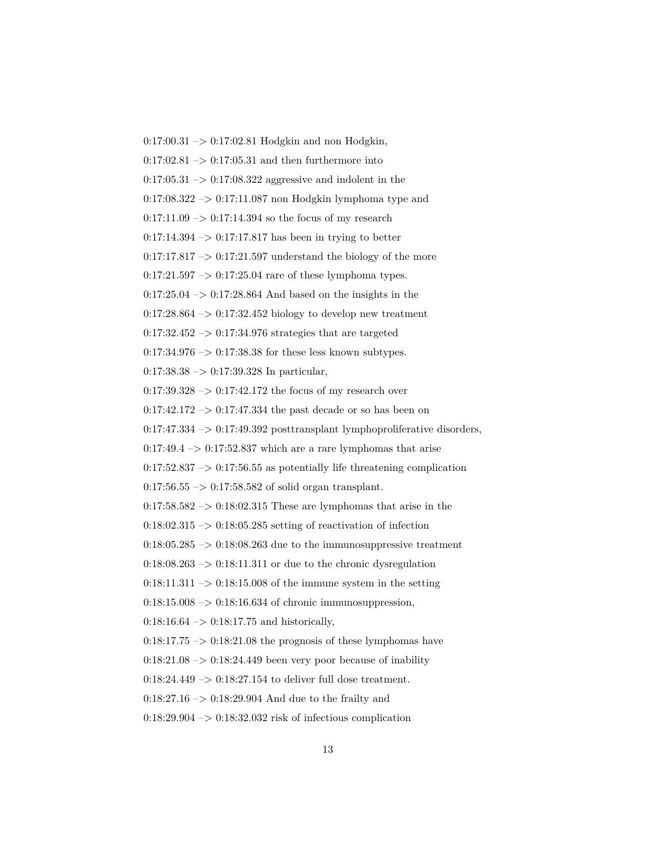0:17:00.31 –> 0:17:02.81 Hodgkin and non Hodgkin,  $0:17:02.81 \rightarrow 0:17:05.31$  and then furthermore into  $0:17:05.31 \rightarrow 0:17:08.322$  aggressive and indolent in the  $0:17:08.322 \rightarrow 0:17:11.087$  non Hodgkin lymphoma type and  $0:17:11.09 \rightarrow 0:17:14.394$  so the focus of my research  $0:17:14.394 \rightarrow 0:17:17.817$  has been in trying to better 0:17:17.817  $->$  0:17:21.597 understand the biology of the more  $0:17:21.597 \rightarrow 0:17:25.04$  rare of these lymphoma types.  $0:17:25.04 \rightarrow 0:17:28.864$  And based on the insights in the  $0.17:28.864 \rightarrow 0.17:32.452$  biology to develop new treatment  $0.17:32.452 \rightarrow 0.17:34.976$  strategies that are targeted  $0:17:34.976 \rightarrow 0:17:38.38$  for these less known subtypes. 0:17:38.38 –> 0:17:39.328 In particular,  $0:17:39.328 \rightarrow 0:17:42.172$  the focus of my research over  $0:17:42.172 \rightarrow 0:17:47.334$  the past decade or so has been on  $0:17:47.334 \rightarrow 0:17:49.392$  posttransplant lymphoproliferative disorders,  $0:17:49.4 \rightarrow 0:17:52.837$  which are a rare lymphomas that arise  $0:17:52.837 \rightarrow 0:17:56.55$  as potentially life threatening complication  $0:17:56.55 \rightarrow 0:17:58.582$  of solid organ transplant.  $0:17:58.582 \rightarrow 0:18:02.315$  These are lymphomas that arise in the  $0:18:02.315 \rightarrow 0:18:05.285$  setting of reactivation of infection  $0:18:05.285 \rightarrow 0:18:08.263$  due to the immunosuppressive treatment  $0:18:08.263 \rightarrow 0:18:11.311$  or due to the chronic dysregulation  $0:18:11.311 \rightarrow 0:18:15.008$  of the immune system in the setting  $0.18:15.008 \rightarrow 0.18:16.634$  of chronic immunosuppression,  $0:18:16.64 \rightarrow 0:18:17.75$  and historically,  $0:18:17.75 \rightarrow 0:18:21.08$  the prognosis of these lymphomas have  $0:18:21.08 \rightarrow 0:18:24.449$  been very poor because of inability 0:18:24.449 –> 0:18:27.154 to deliver full dose treatment. 0:18:27.16 –> 0:18:29.904 And due to the frailty and 0:18:29.904 –> 0:18:32.032 risk of infectious complication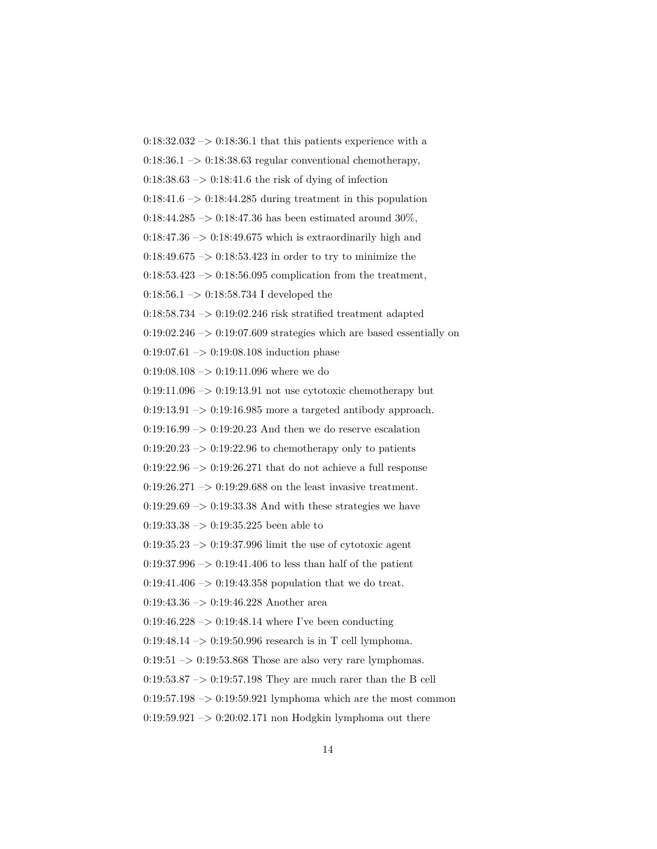$0:18:32.032 \rightarrow 0:18:36.1$  that this patients experience with a  $0.18:36.1 \rightarrow 0.18:38.63$  regular conventional chemotherapy,  $0:18:38.63 \rightarrow 0:18:41.6$  the risk of dying of infection  $0:18:41.6 \rightarrow 0:18:44.285$  during treatment in this population  $0:18:44.285 \rightarrow 0:18:47.36$  has been estimated around  $30\%,$  $0:18:47.36 \rightarrow 0:18:49.675$  which is extraordinarily high and 0:18:49.675  $\rightarrow$  0:18:53.423 in order to try to minimize the  $0:18:53.423 \rightarrow 0:18:56.095$  complication from the treatment, 0:18:56.1  $\rightarrow$  0:18:58.734 I developed the 0:18:58.734 –> 0:19:02.246 risk stratified treatment adapted  $0:19:02.246 \rightarrow 0:19:07.609$  strategies which are based essentially on 0:19:07.61 –> 0:19:08.108 induction phase 0:19:08.108  $\rightarrow$  0:19:11.096 where we do  $0:19:11.096 \rightarrow 0:19:13.91$  not use cytotoxic chemotherapy but  $0:19:13.91 \rightarrow 0:19:16.985$  more a targeted antibody approach.  $0:19:16.99 \rightarrow 0:19:20.23$  And then we do reserve escalation  $0:19:20.23 \rightarrow 0:19:22.96$  to chemotherapy only to patients  $0:19:22.96 \rightarrow 0:19:26.271$  that do not achieve a full response  $0.19:26.271 \rightarrow 0.19:29.688$  on the least invasive treatment.  $0.19:29.69 \rightarrow 0.19:33.38$  And with these strategies we have 0:19:33.38 –> 0:19:35.225 been able to  $0:19:35.23 \rightarrow 0:19:37.996$  limit the use of cytotoxic agent  $0:19:37.996 \rightarrow 0:19:41.406$  to less than half of the patient 0:19:41.406 –> 0:19:43.358 population that we do treat. 0:19:43.36 –> 0:19:46.228 Another area  $0:19:46.228 \rightarrow 0:19:48.14$  where I've been conducting 0:19:48.14 –> 0:19:50.996 research is in T cell lymphoma.  $0:19:51 \rightarrow 0:19:53.868$  Those are also very rare lymphomas.  $0.19:53.87 \rightarrow 0.19:57.198$  They are much rarer than the B cell  $0:19:57.198 \rightarrow 0:19:59.921$  lymphoma which are the most common  $0:19:59.921 \rightarrow 0:20:02.171$  non Hodgkin lymphoma out there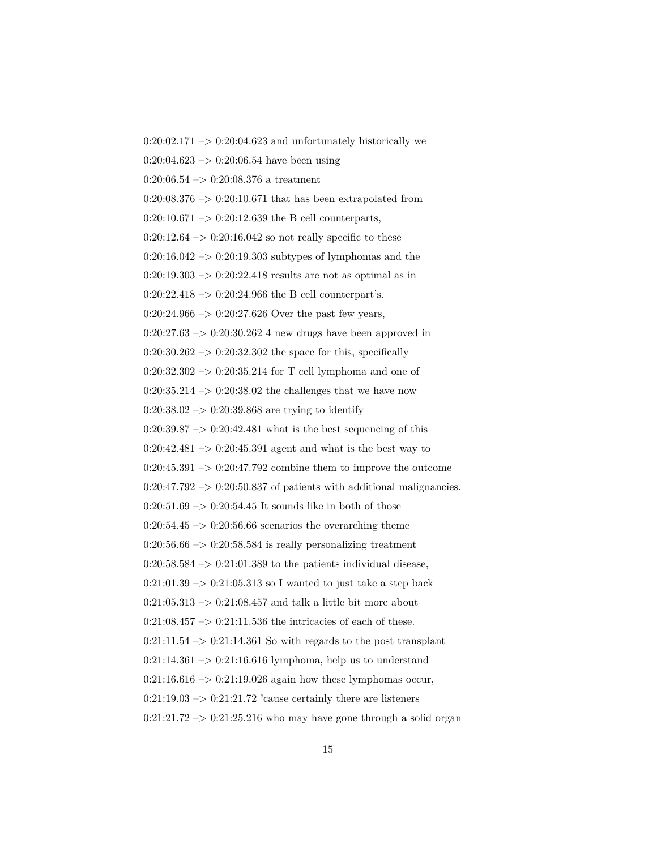$0:20:02.171 \rightarrow 0:20:04.623$  and unfortunately historically we  $0:20:04.623 \rightarrow 0:20:06.54$  have been using  $0:20:06.54 \rightarrow 0:20:08.376$  a treatment  $0:20:08.376 \rightarrow 0:20:10.671$  that has been extrapolated from  $0:20:10.671 \rightarrow 0:20:12.639$  the B cell counterparts,  $0:20:12.64 \rightarrow 0:20:16.042$  so not really specific to these  $0:20:16.042 \rightarrow 0:20:19.303$  subtypes of lymphomas and the  $0:20:19.303 \rightarrow 0:20:22.418$  results are not as optimal as in  $0:20:22.418 \rightarrow 0:20:24.966$  the B cell counterpart's.  $0:20:24.966 \rightarrow 0:20:27.626$  Over the past few years,  $0:20:27.63 \rightarrow 0:20:30.262$  4 new drugs have been approved in  $0:20:30.262 \rightarrow 0:20:32.302$  the space for this, specifically 0:20:32.302 –> 0:20:35.214 for T cell lymphoma and one of  $0:20:35.214 \rightarrow 0:20:38.02$  the challenges that we have now  $0:20:38.02 \rightarrow 0:20:39.868$  are trying to identify  $0:20:39.87 \rightarrow 0:20:42.481$  what is the best sequencing of this  $0:20:42.481 \rightarrow 0:20:45.391$  agent and what is the best way to  $0:20:45.391 \rightarrow 0:20:47.792$  combine them to improve the outcome  $0:20:47.792 \rightarrow 0:20:50.837$  of patients with additional malignancies.  $0:20:51.69 \rightarrow 0:20:54.45$  It sounds like in both of those  $0:20:54.45 \rightarrow 0:20:56.66$  scenarios the overarching theme  $0:20:56.66 \rightarrow 0:20:58.584$  is really personalizing treatment  $0:20:58.584 \rightarrow 0:21:01.389$  to the patients individual disease,  $0:21:01.39 \rightarrow 0:21:05.313$  so I wanted to just take a step back  $0:21:05.313 \rightarrow 0:21:08.457$  and talk a little bit more about  $0:21:08.457 \rightarrow 0:21:11.536$  the intricacies of each of these.  $0:21:11.54 \rightarrow 0:21:14.361$  So with regards to the post transplant  $0:21:14.361 \rightarrow 0:21:16.616$  lymphoma, help us to understand  $0:21:16.616 \rightarrow 0:21:19.026$  again how these lymphomas occur,  $0:21:19.03 \rightarrow 0:21:21.72$  'cause certainly there are listeners  $0:21:21.72 \rightarrow 0:21:25.216$  who may have gone through a solid organ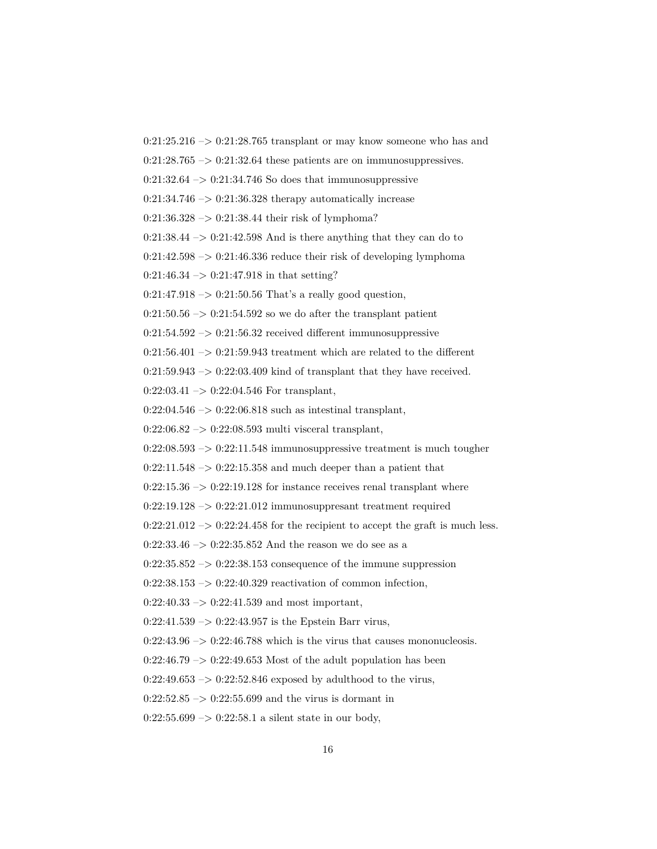$0:21:25.216 \rightarrow 0:21:28.765$  transplant or may know someone who has and  $0:21:28.765 \rightarrow 0:21:32.64$  these patients are on immunosuppressives.  $0:21:32.64 \rightarrow 0:21:34.746$  So does that immunosuppressive  $0:21:34.746 \rightarrow 0:21:36.328$  therapy automatically increase  $0:21:36.328 \rightarrow 0:21:38.44$  their risk of lymphoma?  $0:21:38.44 \rightarrow 0:21:42.598$  And is there anything that they can do to 0:21:42.598  $\mathord{\rightarrow}$  0:21:46.336 reduce their risk of developing lymphoma  $0:21:46.34 \rightarrow 0:21:47.918$  in that setting?  $0:21:47.918 \rightarrow 0:21:50.56$  That's a really good question,  $0:21:50.56 \rightarrow 0:21:54.592$  so we do after the transplant patient  $0:21:54.592 \rightarrow 0:21:56.32$  received different immunosuppressive  $0:21:56.401 \rightarrow 0:21:59.943$  treatment which are related to the different  $0:21:59.943 \rightarrow 0:22:03.409$  kind of transplant that they have received.  $0:22:03.41 \rightarrow 0:22:04.546$  For transplant,  $0:22:04.546 \rightarrow 0:22:06.818$  such as intestinal transplant,  $0:22:06.82 \rightarrow 0:22:08.593$  multi visceral transplant,  $0:22:08.593 \rightarrow 0:22:11.548$  immunosuppressive treatment is much tougher  $0:22:11.548 \rightarrow 0:22:15.358$  and much deeper than a patient that  $0:22:15.36 \rightarrow 0:22:19.128$  for instance receives renal transplant where  $0:22:19.128 \rightarrow 0:22:21.012$  immunosuppresant treatment required  $0:22:21.012 \rightarrow 0:22:24.458$  for the recipient to accept the graft is much less. 0:22:33.46  $\rightarrow$  0:22:35.852 And the reason we do see as a  $0:22:35.852 \rightarrow 0:22:38.153$  consequence of the immune suppression  $0:22:38.153 \rightarrow 0:22:40.329$  reactivation of common infection,  $0:22:40.33 \rightarrow 0:22:41.539$  and most important,  $0:22:41.539 \rightarrow 0:22:43.957$  is the Epstein Barr virus,  $0:22:43.96 \rightarrow 0:22:46.788$  which is the virus that causes mononucleosis.  $0:22:46.79 \rightarrow 0:22:49.653$  Most of the adult population has been  $0:22:49.653 \rightarrow 0:22:52.846$  exposed by adulthood to the virus,  $0:22:52.85 \rightarrow 0:22:55.699$  and the virus is dormant in  $0:22:55.699 \rightarrow 0:22:58.1$  a silent state in our body,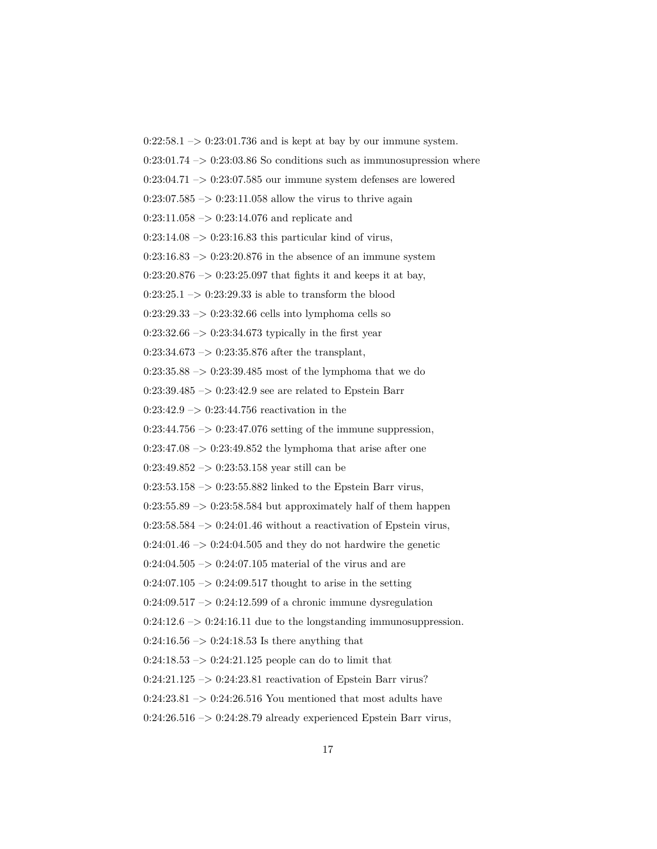$0:22:58.1 \rightarrow 0:23:01.736$  and is kept at bay by our immune system.  $0:23:01.74 \rightarrow 0:23:03.86$  So conditions such as immunosupression where  $0:23:04.71 \rightarrow 0:23:07.585$  our immune system defenses are lowered  $0:23:07.585 \rightarrow 0:23:11.058$  allow the virus to thrive again  $0:23:11.058 \rightarrow 0:23:14.076$  and replicate and  $0:23:14.08 \rightarrow 0:23:16.83$  this particular kind of virus,  $0:23:16.83 \rightarrow 0:23:20.876$  in the absence of an immune system  $0:23:20.876 \rightarrow 0:23:25.097$  that fights it and keeps it at bay,  $0:23:25.1 \rightarrow 0:23:29.33$  is able to transform the blood  $0:23:29.33 \rightarrow 0:23:32.66$  cells into lymphoma cells so  $0:23:32.66 \rightarrow 0:23:34.673$  typically in the first year  $0:23:34.673 \rightarrow 0:23:35.876$  after the transplant, 0:23:35.88 –> 0:23:39.485 most of the lymphoma that we do  $0:23:39.485 \rightarrow 0:23:42.9$  see are related to Epstein Barr  $0:23:42.9 \rightarrow 0:23:44.756$  reactivation in the  $0:23:44.756 \rightarrow 0:23:47.076$  setting of the immune suppression,  $0:23:47.08 \rightarrow 0:23:49.852$  the lymphoma that arise after one  $0:23:49.852 \rightarrow 0:23:53.158$  year still can be  $0:23:53.158 \rightarrow 0:23:55.882$  linked to the Epstein Barr virus,  $0:23:55.89 \rightarrow 0:23:58.584$  but approximately half of them happen  $0:23:58.584 \rightarrow 0:24:01.46$  without a reactivation of Epstein virus,  $0:24:01.46 \rightarrow 0:24:04.505$  and they do not hardwire the genetic  $0:24:04.505 \rightarrow 0:24:07.105$  material of the virus and are  $0:24:07.105 \rightarrow 0:24:09.517$  thought to arise in the setting  $0:24:09.517 \rightarrow 0:24:12.599$  of a chronic immune dysregulation  $0:24:12.6 \rightarrow 0:24:16.11$  due to the longstanding immunosuppression.  $0:24:16.56 \rightarrow 0:24:18.53$  Is there anything that  $0:24:18.53 \rightarrow 0:24:21.125$  people can do to limit that 0:24:21.125 –> 0:24:23.81 reactivation of Epstein Barr virus?  $0:24:23.81 \rightarrow 0:24:26.516$  You mentioned that most adults have  $0:24:26.516 \rightarrow 0:24:28.79$  already experienced Epstein Barr virus,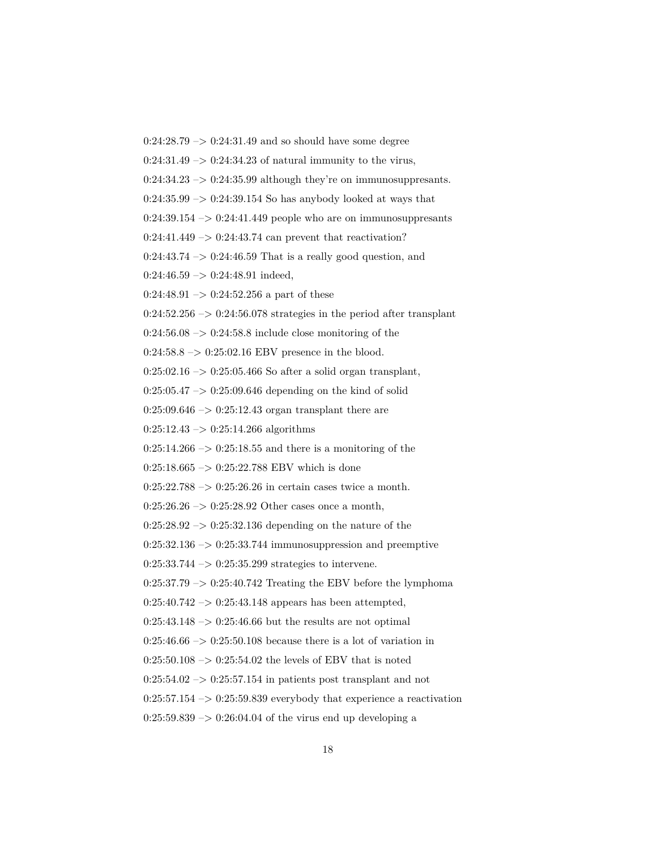$0:24:28.79 \rightarrow 0:24:31.49$  and so should have some degree

 $0:24:31.49 \rightarrow 0:24:34.23$  of natural immunity to the virus,

 $0:24:34.23 \rightarrow 0:24:35.99$  although they're on immunosuppresants.

 $0:24:35.99 \rightarrow 0:24:39.154$  So has anybody looked at ways that

 $0:24:39.154 \rightarrow 0:24:41.449$  people who are on immunosuppresants

 $0:24:41.449 \rightarrow 0:24:43.74$  can prevent that reactivation?

0:24:43.74  $\mathord{\rightarrow}$  0:24:46.59 That is a really good question, and

 $0:24:46.59 \rightarrow 0:24:48.91$  indeed,

 $0:24:48.91 \rightarrow 0:24:52.256$  a part of these

 $0:24:52.256 \rightarrow 0:24:56.078$  strategies in the period after transplant

 $0:24:56.08 \rightarrow 0:24:58.8$  include close monitoring of the

 $0:24:58.8 \rightarrow 0:25:02.16$  EBV presence in the blood.

 $0:25:02.16 \rightarrow 0:25:05.466$  So after a solid organ transplant,

 $0:25:05.47 \rightarrow 0:25:09.646$  depending on the kind of solid

 $0:25:09.646 \rightarrow 0:25:12.43$  organ transplant there are

 $0:25:12.43 \rightarrow 0:25:14.266$  algorithms

 $0:25:14.266 \rightarrow 0:25:18.55$  and there is a monitoring of the

 $0:25:18.665 \rightarrow 0:25:22.788$  EBV which is done

 $0:25:22.788 \rightarrow 0:25:26.26$  in certain cases twice a month.

 $0:25:26.26 \rightarrow 0:25:28.92$  Other cases once a month,

 $0:25:28.92 \rightarrow 0:25:32.136$  depending on the nature of the

 $0:25:32.136 \rightarrow 0:25:33.744$  immunosuppression and preemptive

0:25:33.744 –> 0:25:35.299 strategies to intervene.

 $0:25:37.79 \rightarrow 0:25:40.742$  Treating the EBV before the lymphoma

 $0:25:40.742 \rightarrow 0:25:43.148$  appears has been attempted,

 $0:25:43.148 \rightarrow 0:25:46.66$  but the results are not optimal

 $0:25:46.66 \rightarrow 0:25:50.108$  because there is a lot of variation in

 $0:25:50.108 \rightarrow 0:25:54.02$  the levels of EBV that is noted

 $0:25:54.02 \rightarrow 0:25:57.154$  in patients post transplant and not

 $0:25:57.154 \rightarrow 0:25:59.839$  everybody that experience a reactivation

 $0:25:59.839 \rightarrow 0:26:04.04$  of the virus end up developing a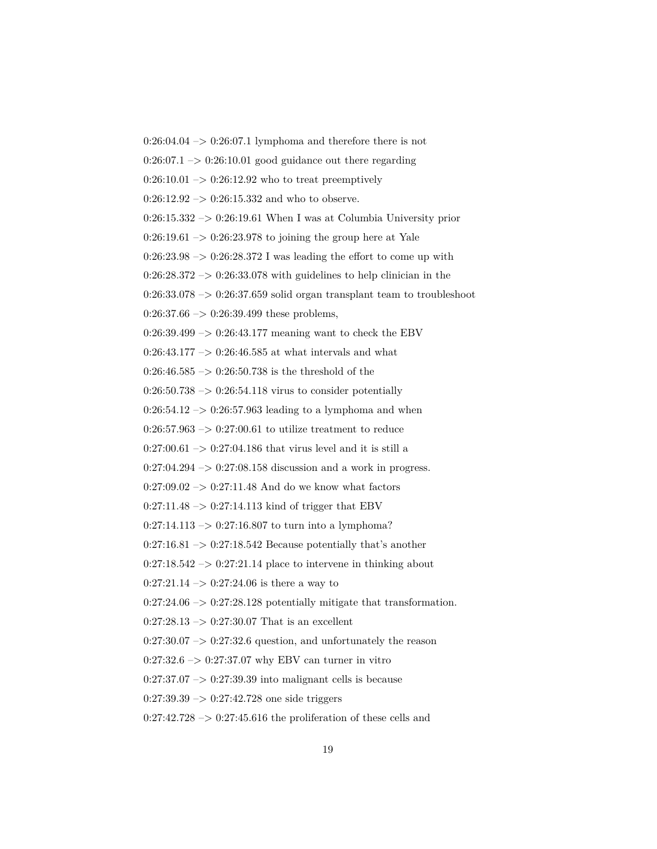$0:26:04.04 \rightarrow 0:26:07.1$  lymphoma and therefore there is not  $0:26:07.1 \rightarrow 0:26:10.01$  good guidance out there regarding  $0:26:10.01 \rightarrow 0:26:12.92$  who to treat preemptively  $0:26:12.92 \rightarrow 0:26:15.332$  and who to observe.  $0:26:15.332 \rightarrow 0:26:19.61$  When I was at Columbia University prior  $0:26:19.61 \rightarrow 0:26:23.978$  to joining the group here at Yale  $0:26:23.98 \rightarrow 0:26:28.372$  I was leading the effort to come up with  $0:26:28.372 \rightarrow 0:26:33.078$  with guidelines to help clinician in the  $0:26:33.078 \rightarrow 0:26:37.659$  solid organ transplant team to troubleshoot  $0:26:37.66 \rightarrow 0:26:39.499$  these problems,  $0:26:39.499 \rightarrow 0:26:43.177$  meaning want to check the EBV  $0:26:43.177 \rightarrow 0:26:46.585$  at what intervals and what  $0:26:46.585 \rightarrow 0:26:50.738$  is the threshold of the  $0:26:50.738 \rightarrow 0:26:54.118$  virus to consider potentially  $0:26:54.12 \rightarrow 0:26:57.963$  leading to a lymphoma and when  $0:26:57.963 \rightarrow 0:27:00.61$  to utilize treatment to reduce  $0:27:00.61 \rightarrow 0:27:04.186$  that virus level and it is still a  $0:27:04.294 \rightarrow 0:27:08.158$  discussion and a work in progress.  $0:27:09.02 \rightarrow 0:27:11.48$  And do we know what factors  $0:27:11.48 \rightarrow 0:27:14.113$  kind of trigger that EBV  $0:27:14.113 \rightarrow 0:27:16.807$  to turn into a lymphoma?  $0:27:16.81 \rightarrow 0:27:18.542$  Because potentially that's another  $0:27:18.542 \rightarrow 0:27:21.14$  place to intervene in thinking about  $0:27:21.14 \rightarrow 0:27:24.06$  is there a way to  $0:27:24.06 \rightarrow 0:27:28.128$  potentially mitigate that transformation.  $0:27:28.13 \rightarrow 0:27:30.07$  That is an excellent  $0:27:30.07 \rightarrow 0:27:32.6$  question, and unfortunately the reason  $0:27:32.6 \rightarrow 0:27:37.07$  why EBV can turner in vitro  $0:27:37.07 \rightarrow 0:27:39.39$  into malignant cells is because  $0:27:39.39 \rightarrow 0:27:42.728$  one side triggers

 $0:27:42.728 \rightarrow 0:27:45.616$  the proliferation of these cells and